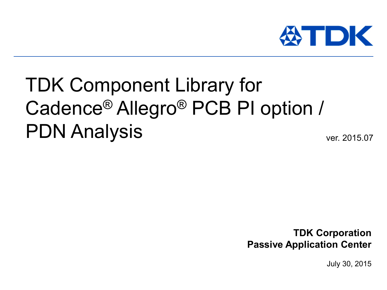

# TDK Component Library for Cadence® Allegro® PCB PI option / PDN Analysis ver. 2015.07

**TDK Corporation Passive Application Center**

July 30, 2015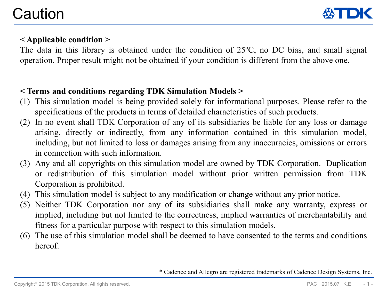

# **< Applicable condition >**

The data in this library is obtained under the condition of 25ºC, no DC bias, and small signal operation. Proper result might not be obtained if your condition is different from the above one.

# **< Terms and conditions regarding TDK Simulation Models >**

- (1) This simulation model is being provided solely for informational purposes. Please refer to the specifications of the products in terms of detailed characteristics of such products.
- (2) In no event shall TDK Corporation of any of its subsidiaries be liable for any loss or damage arising, directly or indirectly, from any information contained in this simulation model, including, but not limited to loss or damages arising from any inaccuracies, omissions or errors in connection with such information.
- (3) Any and all copyrights on this simulation model are owned by TDK Corporation. Duplication or redistribution of this simulation model without prior written permission from TDK Corporation is prohibited.
- (4) This simulation model is subject to any modification or change without any prior notice.
- (5) Neither TDK Corporation nor any of its subsidiaries shall make any warranty, express or implied, including but not limited to the correctness, implied warranties of merchantability and fitness for a particular purpose with respect to this simulation models.
- (6) The use of this simulation model shall be deemed to have consented to the terms and conditions hereof.

\* Cadence and Allegro are registered trademarks of Cadence Design Systems, Inc.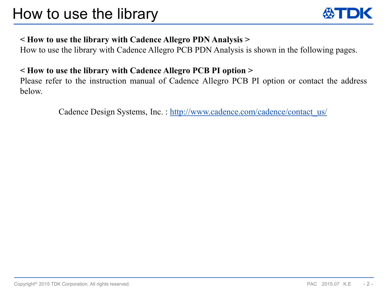

# **< How to use the library with Cadence Allegro PDN Analysis >**

How to use the library with Cadence Allegro PCB PDN Analysis is shown in the following pages.

# **< How to use the library with Cadence Allegro PCB PI option >**

Please refer to the instruction manual of Cadence Allegro PCB PI option or contact the address below.

Cadence Design Systems, Inc.: http://www.cadence.com/cadence/contact\_us/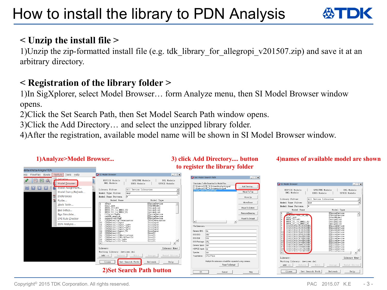# **< Unzip the install file >**

1)Unzip the zip-formatted install file (e.g. tdk\_library\_for\_allegropi\_v201507.zip) and save it at an arbitrary directory.

# **< Registration of the library folder >**

1)In SigXplorer, select Model Browser… form Analyze menu, then SI Model Browser window opens.

2)Click the Set Search Path, then Set Model Search Path window opens.

3)Click the Add Directory… and select the unzipped library folder.

4)After the registration, available model name will be shown in SI Model Browser window.

### **1)Analyze>Model Browser...**

data/ehata/Allegro/PDN

## **3) click Add Directory.... button to register the library folder**

#### **4)names of available model are shown**

SPECTRE Models

IBIS Models

All Device Libraries

Any

vices.dml

Search Path

 $\Box x$ 

 $\overline{\phantom{0}}$ 

 $\hat{=}$ 

Library Mgmt

Help

IMI Models

SPICE Models

Model Type .<br>Shi ceDevice

esignLin

SpiceDevice SniceDevice

| FlowPlan Route<br>Analyze   Tools Help | SI Model Browser                                                                                       | $ \Box$ $\times$             |                                                                                                            |                                                                                      |
|----------------------------------------|--------------------------------------------------------------------------------------------------------|------------------------------|------------------------------------------------------------------------------------------------------------|--------------------------------------------------------------------------------------|
| Initialize                             |                                                                                                        |                              | $ \Box$ $\times$<br><b>Dr</b> Set Model Search Path                                                        |                                                                                      |
| 困<br>$\mathcal{Q}$                     | HSPICE Models<br>SPECTRE Models<br>DML Models                                                          | IML Models                   |                                                                                                            |                                                                                      |
| Model Browser                          | IBIS Models                                                                                            | SPICE Models                 | Directories To Be Searched for Model Files<br>C:\Cadence\SPB 16.6\share\local\pcb\signal<br>Add Directory. | SI Model Browser                                                                     |
| Model Assignment                       | All Device Libraries<br>Library Filter                                                                 |                              | C:\Cadence\SPB_16.6\share\pob\signal                                                                       | HSPICE Models                                                                        |
| Model Dump/Refresh                     | Model Type Filter<br>  Anv                                                                             |                              | C:\user_data\CadencePI\tdk<br>Move To Top                                                                  | DML Models                                                                           |
| 僧<br>Preferences                       | Model Name Pattern                                                                                     |                              | Move Up                                                                                                    |                                                                                      |
| 笘<br>Probe                             | Model Name                                                                                             | Model Type                   |                                                                                                            | a<br>Library Filter                                                                  |
| Xtalk Table                            | 4Port                                                                                                  | ESpiceDevice                 | Move Down                                                                                                  | Model Type Filter                                                                    |
|                                        | 12<br>bla2 pos<br>BRD1_U1toU2                                                                          | BoardModel<br>DesignLink     | Move To Bottom                                                                                             | $\mathbf{r}$<br>Model Name Pattern                                                   |
| Bus Setup                              | BRD1_U1_to_BRD2_U2<br>BRD1_U2_to_BRD2_U1                                                               | DesignLink<br>DesignLink     |                                                                                                            | Model Name                                                                           |
| Bus Simulate                           | C20p_withpkg                                                                                           | ESpiceDevice                 | Remove Directory                                                                                           | 4Port<br>ACH2U12 900 2F Sp                                                           |
| <b>EMI Rule Checker</b>                | cable_espice                                                                                           | ESpiceDevice<br>ESpiceDevice | Reset To Default                                                                                           | bln2_pos                                                                             |
|                                        | capacitor20pF<br>CDSDefaultACTerminator<br>CDSDefaultInput<br>10                                       | IbisTerminator<br>IbisInput  | $\left  \cdot \right $                                                                                     | BRD1_U1toU2                                                                          |
| PDN Analysis                           | CDSDefaultInput_1p8v<br>CDSDefaultInput_2p5v<br>CDSDefaultInput_3p3v<br>CDSDefaultInput_5v<br>11<br>12 | IbisInput<br>IbisInput       | File Extensions                                                                                            | BRD1_U1_to_BRD2_U2<br>BRD1_U2_to_BRD2_U1<br>C0402C0G1C010C020E<br>C0402C0G1C020C020E |
|                                        | 13                                                                                                     | IbisInput<br>IbisInput       |                                                                                                            |                                                                                      |
|                                        | 14<br>CDSDefaultIO<br>15                                                                               | IbisI0                       | Generic IBIS: ibs                                                                                          | C0402C0G1C030C020E<br>C0402C0G1C040C020E<br>C0402C0G1C050C020E                       |
|                                        | 16<br>CDSDefaultIOMultistage<br>CDSDefaultIOWithTestLd<br>17                                           | IbisI0<br>IbisIO             | IBIS EBD:<br>ebd                                                                                           | C0402C0G1C060D020E                                                                   |
|                                        | 18<br>CDSDefaultIO 1p8v<br>$CDSDefaut+TOZnSv$                                                          | IbisI0<br>This IO            | IBIS ICM:<br>licm                                                                                          | C0402C0G1C070D020E                                                                   |
|                                        | 19<br>l۰                                                                                               |                              | IBIS Package: pkg                                                                                          | C0402C0G1C080D020E<br>C0402C0G1C090D020E                                             |
|                                        | Library:                                                                                               | Library Mgmt                 | Generic Spice: spc                                                                                         | C0402C0G1C0R5C020E                                                                   |
|                                        | Working Library: devices.dml                                                                           |                              | HSPICE Input  sp                                                                                           | C0402C0G1C101J020E<br>C0402C0G1C101K020E<br>1٥                                       |
|                                        | $Add \rightarrow$<br>Edit<br>Delete.                                                                   | Model Editor<br>Assign       | Spectre:<br>spc                                                                                            |                                                                                      |
|                                        |                                                                                                        |                              | $s^2p_s s^2p_t$<br>Touchstone:                                                                             | Library                                                                              |
|                                        | Set Search Path<br>Close                                                                               | Help<br>Refresh              | Multiple file extensions should be separated using commas.                                                 | Working Library: device                                                              |
|                                        |                                                                                                        |                              | Reset To Default                                                                                           | $Add \rightarrow$<br>Delete                                                          |
|                                        |                                                                                                        |                              |                                                                                                            |                                                                                      |
|                                        | <b>2)Set Search Path button</b>                                                                        |                              | 0K<br>Help<br>Cancel                                                                                       | Set Sea<br>Close                                                                     |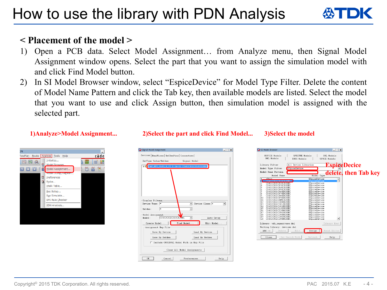# How to use the library with PDN Analysis

# **< Placement of the model >**

- 1) Open a PCB data. Select Model Assignment… from Analyze menu, then Signal Model Assignment window opens. Select the part that you want to assign the simulation model with and click Find Model button.
- 2) In SI Model Browser window, select "EspiceDevice" for Model Type Filter. Delete the content of Model Name Pattern and click the Tab key, then available models are listed. Select the model that you want to use and click Assign button, then simulation model is assigned with the selected part.

| DN                |                                                                     |               |
|-------------------|---------------------------------------------------------------------|---------------|
| FlowPlan<br>Route | Analyze<br>Tools<br>He                                              | cāde          |
| Q<br>蹴            | Initialize<br>Model Browser<br>笝                                    | 뺞<br>!#<br>88 |
|                   | Model Assignment<br>甾                                               | m<br>ň        |
|                   | Model Dump/Refresh<br>偤<br>Preferences<br>笘<br>Probe<br>Xtalk Table |               |
|                   | Bus Setup<br>Bus Simulate<br><b>EMI Rule Checker</b>                |               |
|                   | PDN Analysis                                                        |               |
|                   |                                                                     |               |
|                   |                                                                     |               |
|                   |                                                                     |               |

### **1)Analyze>Model Assignment... 2)Select the part and click Find Model... 3)Select the model**

Signal Model Assignment  $\Box$ Devices | BondWires | RefDesPins | Connectors | DevType Value/Refdes Signal Model Display Filters  $\sqrt{ }$  Device Class:  $\sqrt{*}$ Device Type: \*  $\overline{z}$ Refdes Model Assignment C0402C0G1C010C020BC Model:  $\overline{\phantom{a}}$ Auto Setup Create Model Find Model. Edit Model Assignment Map File Save By Device. Load By Device. Save By Refdes. Load By Refdes.  $\Box$  Include ORIGINAL Model Path in Map File Clear All Model Assignments  $OK$ Cancel Preferences. Help

#### $\Box$   $\times$ SI Model Brow HSPICE Models SPECTRE Models IML Models DML Models IBIS Models SPICE Models **EspiceDecice** All Device Libraries Library Filter Model Type Filter ESpiceDevice **delete, then Tab key**Model Name Pattern Model Name Model Type ESpiceDevice ESpiceDevice ESpiceDevice<br>ESpiceDevice<br>ESpiceDevice<br>ESpiceDevice<br>ESpiceDevice<br>ESpiceDevice CR402CRG1CR30CR20B C0402C0G1C030C020BC<br>C0402C0G1C050C020BC<br>C0402C0G1C060D020BC<br>C0402C0G1C070D020BC<br>C0402C0G1C070D020BC C0402C0G1C080D020B0 CR402CRG1CR90D020BC **ESpiceDevice** C0402C0G1C0R5C020B ESpiceDevice<br>ESpiceDevice  $\begin{array}{r} 11 \\ 12 \\ 13 \\ 14 \\ 15 \\ 16 \\ 17 \\ 18 \\ 19 \\ 19 \\ 20 \end{array}$ C0402C0G1C101J02 ESpiceDevice C0402C0G1C101K020B ESpiceDevice C0402C0G1C120J020B ESpiceDevice CR402CRG1C128M020RG ESpiceDevice<br>ESpiceDevice<br>ESpiceDevice C0402C0GIC120K020BC<br>C0402C0GIC150K020BC<br>C0402C0GIC150K020BC<br>C0402C0GIC180J020BC<br>C0402C0GIC180K020BC ESpiceDevice  $\mathbf{r}$ ESpiceDevice Library: tdk\_capacitors.dml Library Mgmt Working Library: devices.dml  $Add \rightarrow$ Delete | Assign indel Editor  $Close$ Set Search Path Refresh Help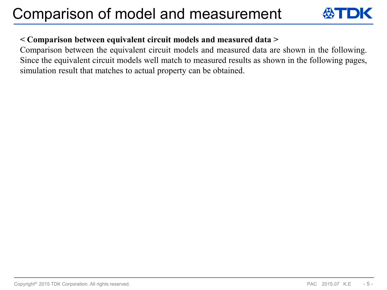

## **< Comparison between equivalent circuit models and measured data >**

Comparison between the equivalent circuit models and measured data are shown in the following. Since the equivalent circuit models well match to measured results as shown in the following pages, simulation result that matches to actual property can be obtained.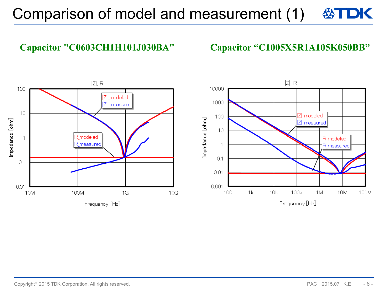# **Capacitor "C0603CH1H101J030BA" Capacitor "C1005X5R1A105K050BB"**